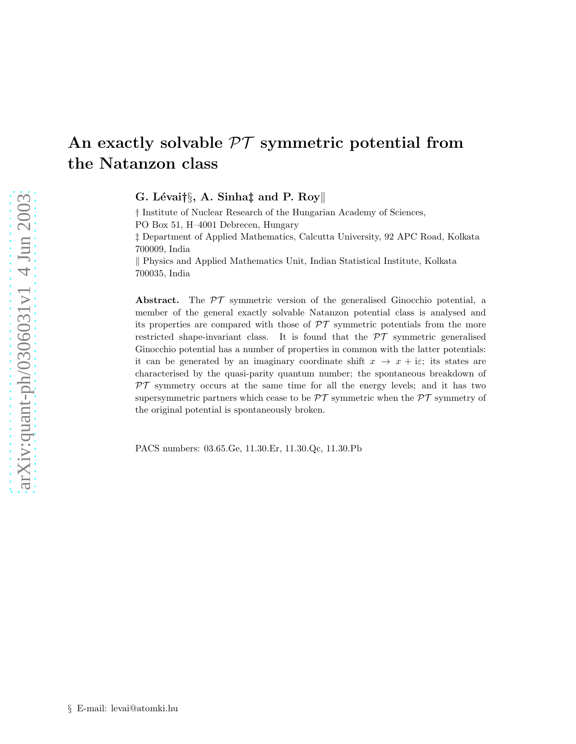# An exactly solvable  $\mathcal{PT}$  symmetric potential from the Natanzon class

G. Lévai†§, A. Sinha‡ and P. Roy

† Institute of Nuclear Research of the Hungarian Academy of Sciences, PO Box 51, H–4001 Debrecen, Hungary ‡ Department of Applied Mathematics, Calcutta University, 92 APC Road, Kolkata 700009, India k Physics and Applied Mathematics Unit, Indian Statistical Institute, Kolkata 700035, India

Abstract. The  $\mathcal{PT}$  symmetric version of the generalised Ginocchio potential, a member of the general exactly solvable Natanzon potential class is analysed and its properties are compared with those of  $\mathcal{PT}$  symmetric potentials from the more restricted shape-invariant class. It is found that the  $\mathcal{PT}$  symmetric generalised Ginocchio potential has a number of properties in common with the latter potentials: it can be generated by an imaginary coordinate shift  $x \to x + i\varepsilon$ ; its states are characterised by the quasi-parity quantum number; the spontaneous breakdown of  $\mathcal{PT}$  symmetry occurs at the same time for all the energy levels; and it has two supersymmetric partners which cease to be  $\mathcal{PT}$  symmetric when the  $\mathcal{PT}$  symmetry of the original potential is spontaneously broken.

PACS numbers: 03.65.Ge, 11.30.Er, 11.30.Qc, 11.30.Pb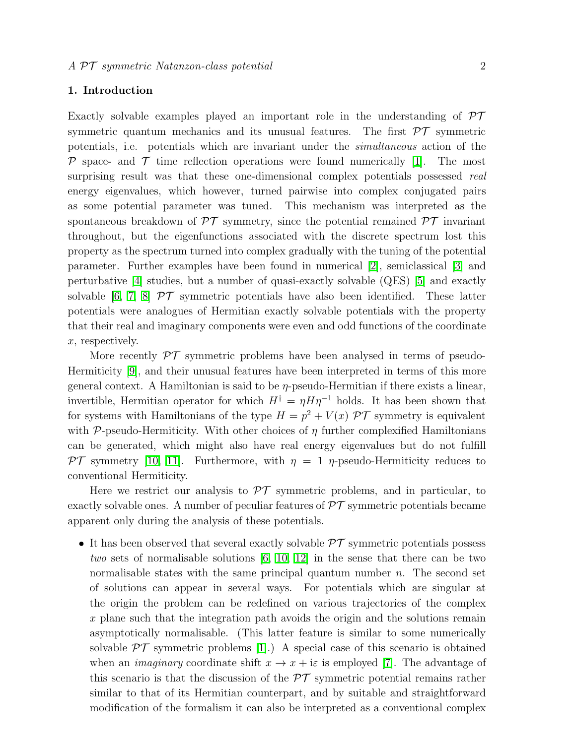# 1. Introduction

Exactly solvable examples played an important role in the understanding of  $\mathcal{PT}$ symmetric quantum mechanics and its unusual features. The first  $\mathcal{PT}$  symmetric potentials, i.e. potentials which are invariant under the simultaneous action of the  $\mathcal P$  space- and  $\mathcal T$  time reflection operations were found numerically [\[1\]](#page-11-0). The most surprising result was that these one-dimensional complex potentials possessed real energy eigenvalues, which however, turned pairwise into complex conjugated pairs as some potential parameter was tuned. This mechanism was interpreted as the spontaneous breakdown of  $\mathcal{PT}$  symmetry, since the potential remained  $\mathcal{PT}$  invariant throughout, but the eigenfunctions associated with the discrete spectrum lost this property as the spectrum turned into complex gradually with the tuning of the potential parameter. Further examples have been found in numerical [\[2\]](#page-11-1), semiclassical [\[3\]](#page-11-2) and perturbative [\[4\]](#page-11-3) studies, but a number of quasi-exactly solvable (QES) [\[5\]](#page-11-4) and exactly solvable [\[6,](#page-11-5) [7,](#page-11-6) [8\]](#page-11-7)  $\mathcal{PT}$  symmetric potentials have also been identified. These latter potentials were analogues of Hermitian exactly solvable potentials with the property that their real and imaginary components were even and odd functions of the coordinate x, respectively.

More recently  $\mathcal{PT}$  symmetric problems have been analysed in terms of pseudo-Hermiticity [\[9\]](#page-11-8), and their unusual features have been interpreted in terms of this more general context. A Hamiltonian is said to be  $\eta$ -pseudo-Hermitian if there exists a linear, invertible, Hermitian operator for which  $H^{\dagger} = \eta H \eta^{-1}$  holds. It has been shown that for systems with Hamiltonians of the type  $H = p^2 + V(x)$   $\mathcal{PT}$  symmetry is equivalent with P-pseudo-Hermiticity. With other choices of  $\eta$  further complexified Hamiltonians can be generated, which might also have real energy eigenvalues but do not fulfill PT symmetry [\[10,](#page-11-9) [11\]](#page-11-10). Furthermore, with  $\eta = 1$   $\eta$ -pseudo-Hermiticity reduces to conventional Hermiticity.

Here we restrict our analysis to  $\mathcal{PT}$  symmetric problems, and in particular, to exactly solvable ones. A number of peculiar features of  $\mathcal{PT}$  symmetric potentials became apparent only during the analysis of these potentials.

• It has been observed that several exactly solvable  $\mathcal{PT}$  symmetric potentials possess two sets of normalisable solutions [\[6,](#page-11-5) [10,](#page-11-9) [12\]](#page-11-11) in the sense that there can be two normalisable states with the same principal quantum number  $n$ . The second set of solutions can appear in several ways. For potentials which are singular at the origin the problem can be redefined on various trajectories of the complex x plane such that the integration path avoids the origin and the solutions remain asymptotically normalisable. (This latter feature is similar to some numerically solvable  $\mathcal{PT}$  symmetric problems [\[1\]](#page-11-0).) A special case of this scenario is obtained when an *imaginary* coordinate shift  $x \to x + i\varepsilon$  is employed [\[7\]](#page-11-6). The advantage of this scenario is that the discussion of the  $\mathcal{PT}$  symmetric potential remains rather similar to that of its Hermitian counterpart, and by suitable and straightforward modification of the formalism it can also be interpreted as a conventional complex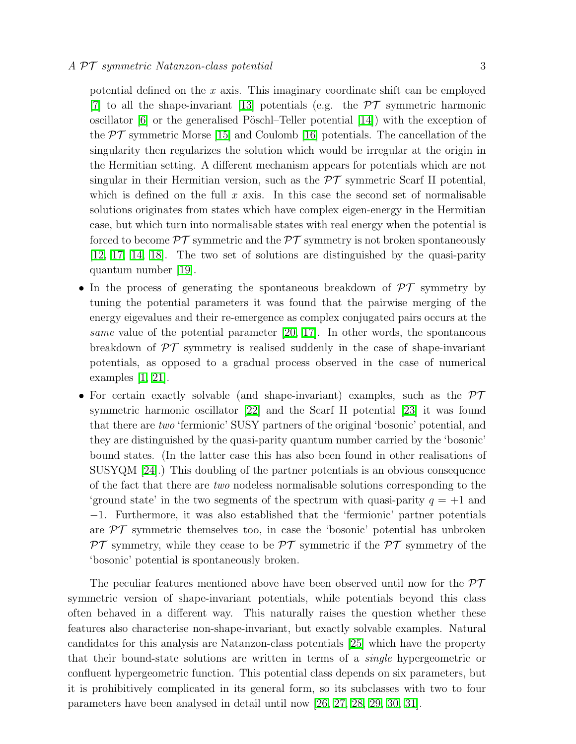potential defined on the  $x$  axis. This imaginary coordinate shift can be employed [\[7\]](#page-11-6) to all the shape-invariant [\[13\]](#page-11-12) potentials (e.g. the  $\mathcal{PT}$  symmetric harmonic oscillator  $[6]$  or the generalised Pöschl–Teller potential  $[14]$ ) with the exception of the  $PT$  symmetric Morse [\[15\]](#page-11-14) and Coulomb [\[16\]](#page-11-15) potentials. The cancellation of the singularity then regularizes the solution which would be irregular at the origin in the Hermitian setting. A different mechanism appears for potentials which are not singular in their Hermitian version, such as the  $\mathcal{PT}$  symmetric Scarf II potential, which is defined on the full x axis. In this case the second set of normalisable solutions originates from states which have complex eigen-energy in the Hermitian case, but which turn into normalisable states with real energy when the potential is forced to become  $\mathcal{PT}$  symmetric and the  $\mathcal{PT}$  symmetry is not broken spontaneously [\[12,](#page-11-11) [17,](#page-11-16) [14,](#page-11-13) [18\]](#page-11-17). The two set of solutions are distinguished by the quasi-parity quantum number [\[19\]](#page-12-0).

- In the process of generating the spontaneous breakdown of  $\mathcal{PT}$  symmetry by tuning the potential parameters it was found that the pairwise merging of the energy eigevalues and their re-emergence as complex conjugated pairs occurs at the same value of the potential parameter [\[20,](#page-12-1) [17\]](#page-11-16). In other words, the spontaneous breakdown of  $\mathcal{PT}$  symmetry is realised suddenly in the case of shape-invariant potentials, as opposed to a gradual process observed in the case of numerical examples [\[1,](#page-11-0) [21\]](#page-12-2).
- For certain exactly solvable (and shape-invariant) examples, such as the  $\mathcal{PT}$ symmetric harmonic oscillator [\[22\]](#page-12-3) and the Scarf II potential [\[23\]](#page-12-4) it was found that there are two 'fermionic' SUSY partners of the original 'bosonic' potential, and they are distinguished by the quasi-parity quantum number carried by the 'bosonic' bound states. (In the latter case this has also been found in other realisations of SUSYQM [\[24\]](#page-12-5).) This doubling of the partner potentials is an obvious consequence of the fact that there are two nodeless normalisable solutions corresponding to the 'ground state' in the two segments of the spectrum with quasi-parity  $q = +1$  and −1. Furthermore, it was also established that the 'fermionic' partner potentials are  $\mathcal{PT}$  symmetric themselves too, in case the 'bosonic' potential has unbroken  $\mathcal{PT}$  symmetry, while they cease to be  $\mathcal{PT}$  symmetric if the  $\mathcal{PT}$  symmetry of the 'bosonic' potential is spontaneously broken.

The peculiar features mentioned above have been observed until now for the  $\mathcal{PT}$ symmetric version of shape-invariant potentials, while potentials beyond this class often behaved in a different way. This naturally raises the question whether these features also characterise non-shape-invariant, but exactly solvable examples. Natural candidates for this analysis are Natanzon-class potentials [\[25\]](#page-12-6) which have the property that their bound-state solutions are written in terms of a single hypergeometric or confluent hypergeometric function. This potential class depends on six parameters, but it is prohibitively complicated in its general form, so its subclasses with two to four parameters have been analysed in detail until now [\[26,](#page-12-7) [27,](#page-12-8) [28,](#page-12-9) [29,](#page-12-10) [30,](#page-12-11) [31\]](#page-12-12).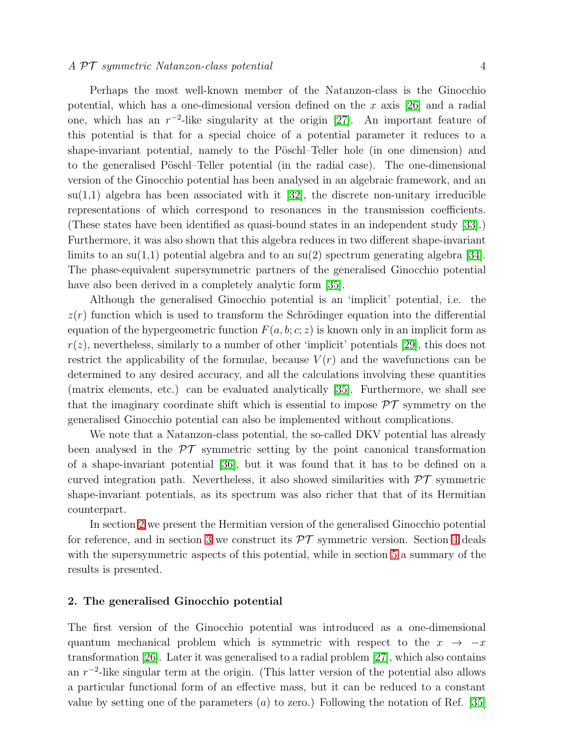Perhaps the most well-known member of the Natanzon-class is the Ginocchio potential, which has a one-dimesional version defined on the x axis [\[26\]](#page-12-7) and a radial one, which has an  $r^{-2}$ -like singularity at the origin [\[27\]](#page-12-8). An important feature of this potential is that for a special choice of a potential parameter it reduces to a shape-invariant potential, namely to the Pöschl–Teller hole (in one dimension) and to the generalised Pöschl–Teller potential (in the radial case). The one-dimensional version of the Ginocchio potential has been analysed in an algebraic framework, and an  $su(1,1)$  algebra has been associated with it [\[32\]](#page-12-13), the discrete non-unitary irreducible representations of which correspond to resonances in the transmission coefficients. (These states have been identified as quasi-bound states in an independent study [\[33\]](#page-12-14).) Furthermore, it was also shown that this algebra reduces in two different shape-invariant limits to an su(1,1) potential algebra and to an  $su(2)$  spectrum generating algebra [\[34\]](#page-12-15). The phase-equivalent supersymmetric partners of the generalised Ginocchio potential

have also been derived in a completely analytic form [\[35\]](#page-12-16). Although the generalised Ginocchio potential is an 'implicit' potential, i.e. the  $z(r)$  function which is used to transform the Schrödinger equation into the differential equation of the hypergeometric function  $F(a, b; c; z)$  is known only in an implicit form as  $r(z)$ , nevertheless, similarly to a number of other 'implicit' potentials [\[29\]](#page-12-10), this does not restrict the applicability of the formulae, because  $V(r)$  and the wavefunctions can be determined to any desired accuracy, and all the calculations involving these quantities (matrix elements, etc.) can be evaluated analytically [\[35\]](#page-12-16). Furthermore, we shall see that the imaginary coordinate shift which is essential to impose  $\mathcal{PT}$  symmetry on the generalised Ginocchio potential can also be implemented without complications.

We note that a Natanzon-class potential, the so-called DKV potential has already been analysed in the  $\mathcal{PT}$  symmetric setting by the point canonical transformation of a shape-invariant potential [\[36\]](#page-12-17), but it was found that it has to be defined on a curved integration path. Nevertheless, it also showed similarities with  $\mathcal{PT}$  symmetric shape-invariant potentials, as its spectrum was also richer that that of its Hermitian counterpart.

In section [2](#page-3-0) we present the Hermitian version of the generalised Ginocchio potential for reference, and in section [3](#page-5-0) we construct its  $\mathcal{PT}$  symmetric version. Section [4](#page-9-0) deals with the supersymmetric aspects of this potential, while in section [5](#page-10-0) a summary of the results is presented.

# <span id="page-3-0"></span>2. The generalised Ginocchio potential

The first version of the Ginocchio potential was introduced as a one-dimensional quantum mechanical problem which is symmetric with respect to the  $x \rightarrow -x$ transformation [\[26\]](#page-12-7). Later it was generalised to a radial problem [\[27\]](#page-12-8), which also contains an  $r^{-2}$ -like singular term at the origin. (This latter version of the potential also allows a particular functional form of an effective mass, but it can be reduced to a constant value by setting one of the parameters  $(a)$  to zero.) Following the notation of Ref. [\[35\]](#page-12-16)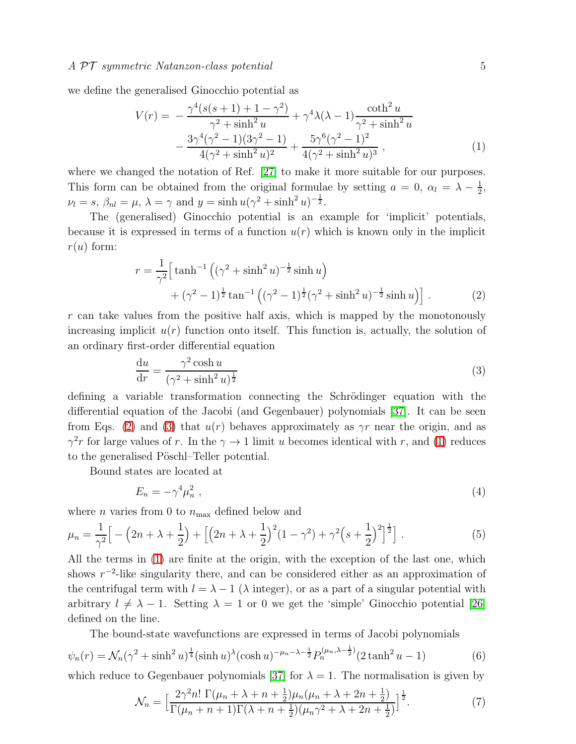<span id="page-4-2"></span>we define the generalised Ginocchio potential as

$$
V(r) = -\frac{\gamma^4 (s(s+1) + 1 - \gamma^2)}{\gamma^2 + \sinh^2 u} + \gamma^4 \lambda (\lambda - 1) \frac{\coth^2 u}{\gamma^2 + \sinh^2 u} -\frac{3\gamma^4 (\gamma^2 - 1)(3\gamma^2 - 1)}{4(\gamma^2 + \sinh^2 u)^2} + \frac{5\gamma^6 (\gamma^2 - 1)^2}{4(\gamma^2 + \sinh^2 u)^3},
$$
 (1)

where we changed the notation of Ref. [\[27\]](#page-12-8) to make it more suitable for our purposes. This form can be obtained from the original formulae by setting  $a = 0$ ,  $\alpha_l = \lambda - \frac{1}{2}$  $\frac{1}{2}$ ,  $\nu_l = s, \ \beta_{nl} = \mu, \ \lambda = \gamma \text{ and } y = \sinh u (\gamma^2 + \sinh^2 u)^{-\frac{1}{2}}.$ 

The (generalised) Ginocchio potential is an example for 'implicit' potentials, because it is expressed in terms of a function  $u(r)$  which is known only in the implicit  $r(u)$  form:

$$
r = \frac{1}{\gamma^2} \Big[ \tanh^{-1} \left( (\gamma^2 + \sinh^2 u)^{-\frac{1}{2}} \sinh u \right) + (\gamma^2 - 1)^{\frac{1}{2}} \tan^{-1} \left( (\gamma^2 - 1)^{\frac{1}{2}} (\gamma^2 + \sinh^2 u)^{-\frac{1}{2}} \sinh u \right) \Big].
$$
 (2)

<span id="page-4-1"></span><span id="page-4-0"></span>r can take values from the positive half axis, which is mapped by the monotonously increasing implicit  $u(r)$  function onto itself. This function is, actually, the solution of an ordinary first-order differential equation

$$
\frac{\mathrm{d}u}{\mathrm{d}r} = \frac{\gamma^2 \cosh u}{(\gamma^2 + \sinh^2 u)^{\frac{1}{2}}} \tag{3}
$$

defining a variable transformation connecting the Schrödinger equation with the differential equation of the Jacobi (and Gegenbauer) polynomials [\[37\]](#page-12-18). It can be seen from Eqs. [\(2\)](#page-4-0) and [\(3\)](#page-4-1) that  $u(r)$  behaves approximately as  $\gamma r$  near the origin, and as  $\gamma^2 r$  for large values of r. In the  $\gamma \to 1$  limit u becomes identical with r, and [\(1\)](#page-4-2) reduces to the generalised Pöschl–Teller potential.

Bound states are located at

$$
E_n = -\gamma^4 \mu_n^2 \tag{4}
$$

<span id="page-4-3"></span>where *n* varies from 0 to  $n_{\text{max}}$  defined below and

$$
\mu_n = \frac{1}{\gamma^2} \Big[ -\left(2n + \lambda + \frac{1}{2}\right) + \Big[ \left(2n + \lambda + \frac{1}{2}\right)^2 (1 - \gamma^2) + \gamma^2 \Big(s + \frac{1}{2}\Big)^2 \Big]^{\frac{1}{2}} \Big]. \tag{5}
$$

All the terms in [\(1\)](#page-4-2) are finite at the origin, with the exception of the last one, which shows  $r^{-2}$ -like singularity there, and can be considered either as an approximation of the centrifugal term with  $l = \lambda - 1$  ( $\lambda$  integer), or as a part of a singular potential with arbitrary  $l \neq \lambda - 1$ . Setting  $\lambda = 1$  or 0 we get the 'simple' Ginocchio potential [\[26\]](#page-12-7) defined on the line.

The bound-state wavefunctions are expressed in terms of Jacobi polynomials

<span id="page-4-4"></span>
$$
\psi_n(r) = \mathcal{N}_n(\gamma^2 + \sinh^2 u)^{\frac{1}{4}} (\sinh u)^{\lambda} (\cosh u)^{-\mu_n - \lambda - \frac{1}{2}} P_n^{(\mu_n, \lambda - \frac{1}{2})} (2 \tanh^2 u - 1)
$$
(6)

which reduce to Gegenbauer polynomials [\[37\]](#page-12-18) for  $\lambda = 1$ . The normalisation is given by

$$
\mathcal{N}_n = \Big[\frac{2\gamma^2 n! \ \Gamma(\mu_n + \lambda + n + \frac{1}{2})\mu_n(\mu_n + \lambda + 2n + \frac{1}{2})}{\Gamma(\mu_n + n + 1)\Gamma(\lambda + n + \frac{1}{2})(\mu_n \gamma^2 + \lambda + 2n + \frac{1}{2})}\Big]^{\frac{1}{2}}.
$$
(7)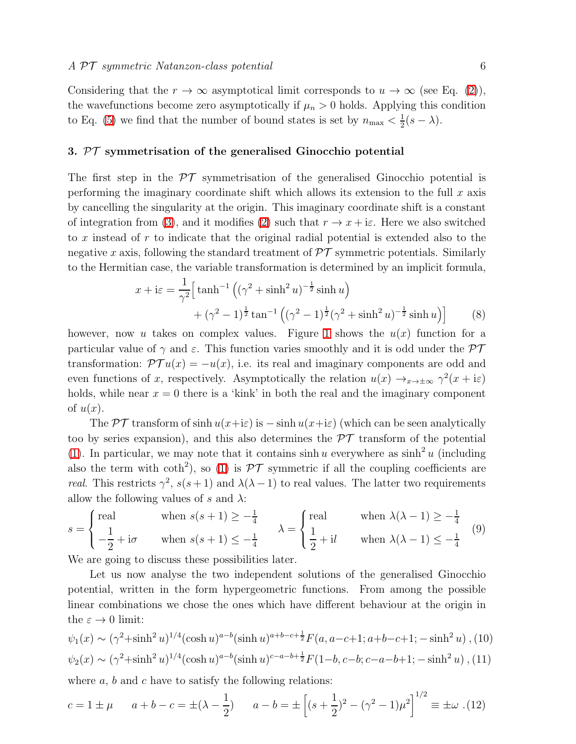Considering that the  $r \to \infty$  asymptotical limit corresponds to  $u \to \infty$  (see Eq. [\(2\)](#page-4-0)), the wavefunctions become zero asymptotically if  $\mu_n > 0$  holds. Applying this condition to Eq. [\(5\)](#page-4-3) we find that the number of bound states is set by  $n_{\text{max}} < \frac{1}{2}$  $rac{1}{2}(s-\lambda).$ 

# <span id="page-5-0"></span>3. PT symmetrisation of the generalised Ginocchio potential

The first step in the  $\mathcal{PT}$  symmetrisation of the generalised Ginocchio potential is performing the imaginary coordinate shift which allows its extension to the full  $x$  axis by cancelling the singularity at the origin. This imaginary coordinate shift is a constant of integration from [\(3\)](#page-4-1), and it modifies [\(2\)](#page-4-0) such that  $r \to x + i\varepsilon$ . Here we also switched to x instead of r to indicate that the original radial potential is extended also to the negative x axis, following the standard treatment of  $\mathcal{PT}$  symmetric potentials. Similarly to the Hermitian case, the variable transformation is determined by an implicit formula,

$$
x + i\varepsilon = \frac{1}{\gamma^2} \Big[ \tanh^{-1} \left( (\gamma^2 + \sinh^2 u)^{-\frac{1}{2}} \sinh u \right) + (\gamma^2 - 1)^{\frac{1}{2}} \tan^{-1} \left( (\gamma^2 - 1)^{\frac{1}{2}} (\gamma^2 + \sinh^2 u)^{-\frac{1}{2}} \sinh u \right) \Big]
$$
(8)

<span id="page-5-3"></span>however, now u takes on complex values. Figure [1](#page-13-0) shows the  $u(x)$  function for a particular value of  $\gamma$  and  $\varepsilon$ . This function varies smoothly and it is odd under the  $\mathcal{PT}$ transformation:  $\mathcal{PT}u(x) = -u(x)$ , i.e. its real and imaginary components are odd and even functions of x, respectively. Asymptotically the relation  $u(x) \rightarrow_{x \rightarrow \pm \infty} \gamma^2(x + i\varepsilon)$ holds, while near  $x = 0$  there is a 'kink' in both the real and the imaginary component of  $u(x)$ .

The PT transform of sinh  $u(x+i\varepsilon)$  is  $-\sinh u(x+i\varepsilon)$  (which can be seen analytically too by series expansion), and this also determines the  $\mathcal{PT}$  transform of the potential [\(1\)](#page-4-2). In particular, we may note that it contains  $\sinh u$  everywhere as  $\sinh^2 u$  (including also the term with coth<sup>2</sup>), so [\(1\)](#page-4-2) is  $\mathcal{PT}$  symmetric if all the coupling coefficients are *real.* This restricts  $\gamma^2$ ,  $s(s+1)$  and  $\lambda(\lambda-1)$  to real values. The latter two requirements allow the following values of s and  $\lambda$ :

<span id="page-5-2"></span>
$$
s = \begin{cases} \text{real} & \text{when } s(s+1) \ge -\frac{1}{4} \\ -\frac{1}{2} + \text{i}\sigma & \text{when } s(s+1) \le -\frac{1}{4} \end{cases} \quad \lambda = \begin{cases} \text{real} & \text{when } \lambda(\lambda - 1) \ge -\frac{1}{4} \\ \frac{1}{2} + \text{i}l & \text{when } \lambda(\lambda - 1) \le -\frac{1}{4} \end{cases} \tag{9}
$$

We are going to discuss these possibilities later.

Let us now analyse the two independent solutions of the generalised Ginocchio potential, written in the form hypergeometric functions. From among the possible linear combinations we chose the ones which have different behaviour at the origin in the  $\varepsilon \to 0$  limit:

$$
\psi_1(x) \sim (\gamma^2 + \sinh^2 u)^{1/4} (\cosh u)^{a-b} (\sinh u)^{a+b-c+\frac{1}{2}} F(a, a-c+1; a+b-c+1; -\sinh^2 u) , (10)
$$
  

$$
\psi_2(x) \sim (\gamma^2 + \sinh^2 u)^{1/4} (\cosh u)^{a-b} (\sinh u)^{c-a-b+\frac{1}{2}} F(1-b, c-b; c-a-b+1; -\sinh^2 u) , (11)
$$

<span id="page-5-1"></span>where  $a, b$  and  $c$  have to satisfy the following relations:

$$
c = 1 \pm \mu \qquad a + b - c = \pm(\lambda - \frac{1}{2}) \qquad a - b = \pm \left[ (s + \frac{1}{2})^2 - (\gamma^2 - 1)\mu^2 \right]^{1/2} \equiv \pm \omega \tag{12}
$$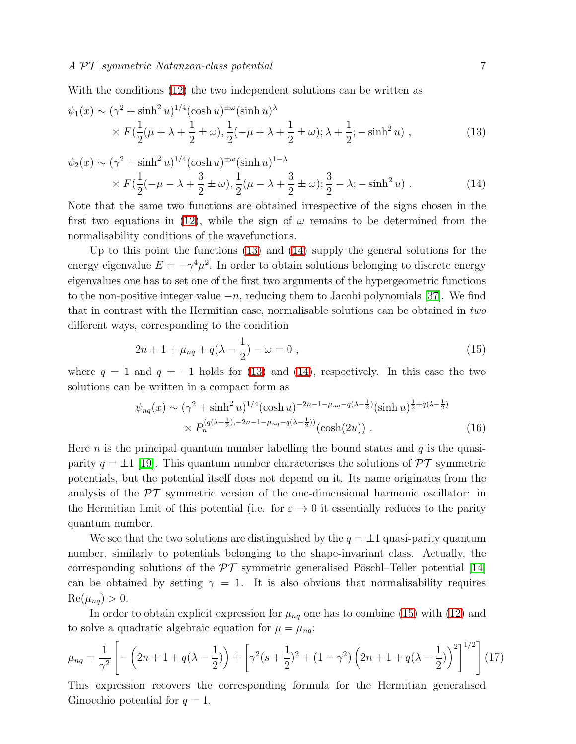With the conditions [\(12\)](#page-5-1) the two independent solutions can be written as

<span id="page-6-0"></span>
$$
\psi_1(x) \sim (\gamma^2 + \sinh^2 u)^{1/4} (\cosh u)^{\pm \omega} (\sinh u)^{\lambda}
$$
  
 
$$
\times F(\frac{1}{2}(\mu + \lambda + \frac{1}{2} \pm \omega), \frac{1}{2}(-\mu + \lambda + \frac{1}{2} \pm \omega); \lambda + \frac{1}{2}; -\sinh^2 u) ,
$$
 (13)

<span id="page-6-1"></span>
$$
\psi_2(x) \sim (\gamma^2 + \sinh^2 u)^{1/4} (\cosh u)^{\pm \omega} (\sinh u)^{1-\lambda} \times F(\frac{1}{2}(-\mu - \lambda + \frac{3}{2} \pm \omega), \frac{1}{2}(\mu - \lambda + \frac{3}{2} \pm \omega); \frac{3}{2} - \lambda; -\sinh^2 u) .
$$
 (14)

Note that the same two functions are obtained irrespective of the signs chosen in the first two equations in [\(12\)](#page-5-1), while the sign of  $\omega$  remains to be determined from the normalisability conditions of the wavefunctions.

Up to this point the functions [\(13\)](#page-6-0) and [\(14\)](#page-6-1) supply the general solutions for the energy eigenvalue  $E = -\gamma^4 \mu^2$ . In order to obtain solutions belonging to discrete energy eigenvalues one has to set one of the first two arguments of the hypergeometric functions to the non-positive integer value  $-n$ , reducing them to Jacobi polynomials [\[37\]](#page-12-18). We find that in contrast with the Hermitian case, normalisable solutions can be obtained in two different ways, corresponding to the condition

$$
2n + 1 + \mu_{nq} + q(\lambda - \frac{1}{2}) - \omega = 0 , \qquad (15)
$$

<span id="page-6-4"></span><span id="page-6-2"></span>where  $q = 1$  and  $q = -1$  holds for [\(13\)](#page-6-0) and [\(14\)](#page-6-1), respectively. In this case the two solutions can be written in a compact form as

$$
\psi_{nq}(x) \sim (\gamma^2 + \sinh^2 u)^{1/4} (\cosh u)^{-2n - 1 - \mu_{nq} - q(\lambda - \frac{1}{2})} (\sinh u)^{\frac{1}{2} + q(\lambda - \frac{1}{2})} \times P_n^{(q(\lambda - \frac{1}{2}), -2n - 1 - \mu_{nq} - q(\lambda - \frac{1}{2}))} (\cosh(2u)) .
$$
\n(16)

Here *n* is the principal quantum number labelling the bound states and  $q$  is the quasiparity  $q = \pm 1$  [\[19\]](#page-12-0). This quantum number characterises the solutions of  $\mathcal{PT}$  symmetric potentials, but the potential itself does not depend on it. Its name originates from the analysis of the  $\mathcal{PT}$  symmetric version of the one-dimensional harmonic oscillator: in the Hermitian limit of this potential (i.e. for  $\varepsilon \to 0$  it essentially reduces to the parity quantum number.

We see that the two solutions are distinguished by the  $q = \pm 1$  quasi-parity quantum number, similarly to potentials belonging to the shape-invariant class. Actually, the corresponding solutions of the  $\mathcal{PT}$  symmetric generalised Pöschl–Teller potential [\[14\]](#page-11-13) can be obtained by setting  $\gamma = 1$ . It is also obvious that normalisability requires  $\text{Re}(\mu_{nq}) > 0.$ 

In order to obtain explicit expression for  $\mu_{nq}$  one has to combine [\(15\)](#page-6-2) with [\(12\)](#page-5-1) and to solve a quadratic algebraic equation for  $\mu = \mu_{nq}$ :

<span id="page-6-3"></span>
$$
\mu_{nq} = \frac{1}{\gamma^2} \left[ -\left(2n + 1 + q(\lambda - \frac{1}{2})\right) + \left[\gamma^2(s + \frac{1}{2})^2 + (1 - \gamma^2)\left(2n + 1 + q(\lambda - \frac{1}{2})\right)^2\right]^{1/2} \right] (17)
$$

This expression recovers the corresponding formula for the Hermitian generalised Ginocchio potential for  $q = 1$ .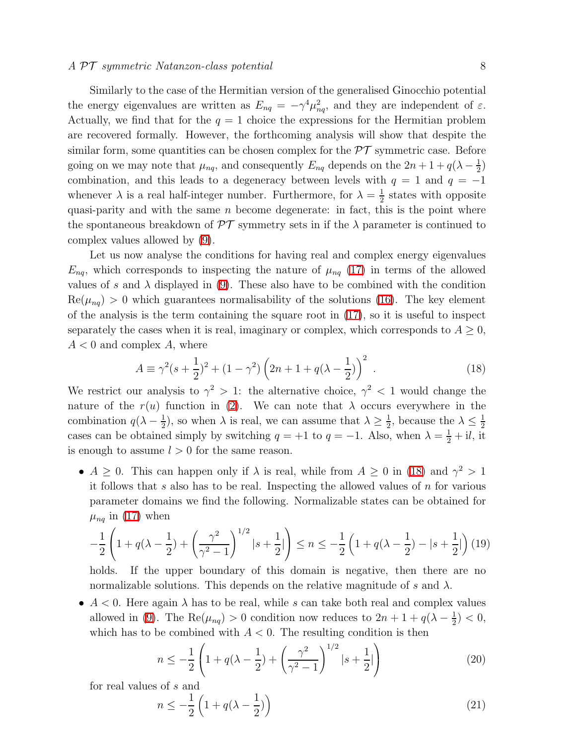Similarly to the case of the Hermitian version of the generalised Ginocchio potential the energy eigenvalues are written as  $E_{nq} = -\gamma^4 \mu_{nq}^2$ , and they are independent of  $\varepsilon$ . Actually, we find that for the  $q = 1$  choice the expressions for the Hermitian problem are recovered formally. However, the forthcoming analysis will show that despite the similar form, some quantities can be chosen complex for the  $\mathcal{PT}$  symmetric case. Before going on we may note that  $\mu_{nq}$ , and consequently  $E_{nq}$  depends on the  $2n+1+q(\lambda-\frac{1}{2})$  $(\frac{1}{2})$ combination, and this leads to a degeneracy between levels with  $q = 1$  and  $q = -1$ whenever  $\lambda$  is a real half-integer number. Furthermore, for  $\lambda = \frac{1}{2}$  $\frac{1}{2}$  states with opposite quasi-parity and with the same  $n$  become degenerate: in fact, this is the point where the spontaneous breakdown of  $\mathcal{PT}$  symmetry sets in if the  $\lambda$  parameter is continued to complex values allowed by [\(9\)](#page-5-2).

Let us now analyse the conditions for having real and complex energy eigenvalues  $E_{nq}$ , which corresponds to inspecting the nature of  $\mu_{nq}$  [\(17\)](#page-6-3) in terms of the allowed values of s and  $\lambda$  displayed in [\(9\)](#page-5-2). These also have to be combined with the condition  $\text{Re}(\mu_{nq}) > 0$  which guarantees normalisability of the solutions [\(16\)](#page-6-4). The key element of the analysis is the term containing the square root in  $(17)$ , so it is useful to inspect separately the cases when it is real, imaginary or complex, which corresponds to  $A \geq 0$ ,  $A < 0$  and complex A, where

$$
A \equiv \gamma^2 (s + \frac{1}{2})^2 + (1 - \gamma^2) \left(2n + 1 + q(\lambda - \frac{1}{2})\right)^2 \,. \tag{18}
$$

<span id="page-7-0"></span>We restrict our analysis to  $\gamma^2 > 1$ : the alternative choice,  $\gamma^2 < 1$  would change the nature of the  $r(u)$  function in [\(2\)](#page-4-0). We can note that  $\lambda$  occurs everywhere in the combination  $q(\lambda - \frac{1}{2})$  $(\frac{1}{2})$ , so when  $\lambda$  is real, we can assume that  $\lambda \geq \frac{1}{2}$  $\frac{1}{2}$ , because the  $\lambda \leq \frac{1}{2}$ 2 cases can be obtained simply by switching  $q = +1$  to  $q = -1$ . Also, when  $\lambda = \frac{1}{2} + i \ell$ , it is enough to assume  $l > 0$  for the same reason.

•  $A \geq 0$ . This can happen only if  $\lambda$  is real, while from  $A \geq 0$  in [\(18\)](#page-7-0) and  $\gamma^2 > 1$ it follows that s also has to be real. Inspecting the allowed values of  $n$  for various parameter domains we find the following. Normalizable states can be obtained for  $\mu_{nq}$  in [\(17\)](#page-6-3) when

$$
-\frac{1}{2}\left(1+q(\lambda-\frac{1}{2})+\left(\frac{\gamma^2}{\gamma^2-1}\right)^{1/2}|s+\frac{1}{2}|\right) \le n \le -\frac{1}{2}\left(1+q(\lambda-\frac{1}{2})-|s+\frac{1}{2}|\right)(19)
$$

holds. If the upper boundary of this domain is negative, then there are no normalizable solutions. This depends on the relative magnitude of s and  $\lambda$ .

•  $A < 0$ . Here again  $\lambda$  has to be real, while s can take both real and complex values allowed in [\(9\)](#page-5-2). The Re( $\mu_{nq}$ ) > 0 condition now reduces to  $2n + 1 + q(\lambda - \frac{1}{2})$  $(\frac{1}{2}) < 0,$ which has to be combined with  $A < 0$ . The resulting condition is then

$$
n \le -\frac{1}{2} \left( 1 + q(\lambda - \frac{1}{2}) + \left( \frac{\gamma^2}{\gamma^2 - 1} \right)^{1/2} |s + \frac{1}{2}| \right) \tag{20}
$$

for real values of s and

$$
n \le -\frac{1}{2} \left( 1 + q(\lambda - \frac{1}{2}) \right) \tag{21}
$$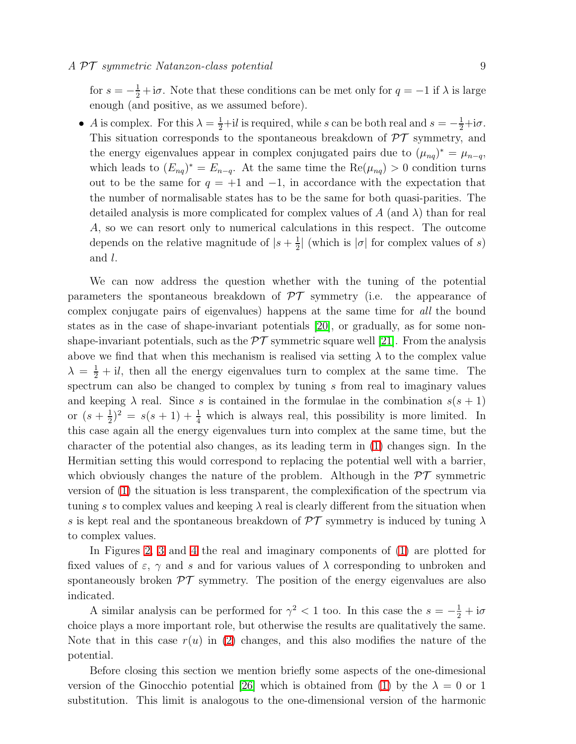for  $s = -\frac{1}{2} + i\sigma$ . Note that these conditions can be met only for  $q = -1$  if  $\lambda$  is large enough (and positive, as we assumed before).

• A is complex. For this  $\lambda = \frac{1}{2} + il$  is required, while s can be both real and  $s = -\frac{1}{2} + i\sigma$ . This situation corresponds to the spontaneous breakdown of  $\mathcal{PT}$  symmetry, and the energy eigenvalues appear in complex conjugated pairs due to  $(\mu_{nq})^* = \mu_{n-q}$ , which leads to  $(E_{nq})^* = E_{n-q}$ . At the same time the Re $(\mu_{nq}) > 0$  condition turns out to be the same for  $q = +1$  and  $-1$ , in accordance with the expectation that the number of normalisable states has to be the same for both quasi-parities. The detailed analysis is more complicated for complex values of  $A$  (and  $\lambda$ ) than for real A, so we can resort only to numerical calculations in this respect. The outcome depends on the relative magnitude of  $|s+\frac{1}{2}\rangle$  $\frac{1}{2}$  (which is  $|\sigma|$  for complex values of s) and l.

We can now address the question whether with the tuning of the potential parameters the spontaneous breakdown of  $\mathcal{PT}$  symmetry (i.e. the appearance of complex conjugate pairs of eigenvalues) happens at the same time for all the bound states as in the case of shape-invariant potentials [\[20\]](#page-12-1), or gradually, as for some nonshape-invariant potentials, such as the  $\mathcal{PT}$  symmetric square well [\[21\]](#page-12-2). From the analysis above we find that when this mechanism is realised via setting  $\lambda$  to the complex value  $\lambda = \frac{1}{2} + i \ell$ , then all the energy eigenvalues turn to complex at the same time. The spectrum can also be changed to complex by tuning s from real to imaginary values and keeping  $\lambda$  real. Since s is contained in the formulae in the combination  $s(s + 1)$ or  $(s+\frac{1}{2})$  $(\frac{1}{2})^2 = s(s+1) + \frac{1}{4}$  which is always real, this possibility is more limited. In this case again all the energy eigenvalues turn into complex at the same time, but the character of the potential also changes, as its leading term in [\(1\)](#page-4-2) changes sign. In the Hermitian setting this would correspond to replacing the potential well with a barrier, which obviously changes the nature of the problem. Although in the  $\mathcal{PT}$  symmetric version of [\(1\)](#page-4-2) the situation is less transparent, the complexification of the spectrum via tuning s to complex values and keeping  $\lambda$  real is clearly different from the situation when s is kept real and the spontaneous breakdown of  $\mathcal{PT}$  symmetry is induced by tuning  $\lambda$ to complex values.

In Figures [2,](#page-13-1) [3](#page-14-0) and [4](#page-14-1) the real and imaginary components of [\(1\)](#page-4-2) are plotted for fixed values of  $\varepsilon$ ,  $\gamma$  and s and for various values of  $\lambda$  corresponding to unbroken and spontaneously broken  $\mathcal{PT}$  symmetry. The position of the energy eigenvalues are also indicated.

A similar analysis can be performed for  $\gamma^2 < 1$  too. In this case the  $s = -\frac{1}{2} + i\sigma$ choice plays a more important role, but otherwise the results are qualitatively the same. Note that in this case  $r(u)$  in [\(2\)](#page-4-0) changes, and this also modifies the nature of the potential.

Before closing this section we mention briefly some aspects of the one-dimesional version of the Ginocchio potential [\[26\]](#page-12-7) which is obtained from [\(1\)](#page-4-2) by the  $\lambda = 0$  or 1 substitution. This limit is analogous to the one-dimensional version of the harmonic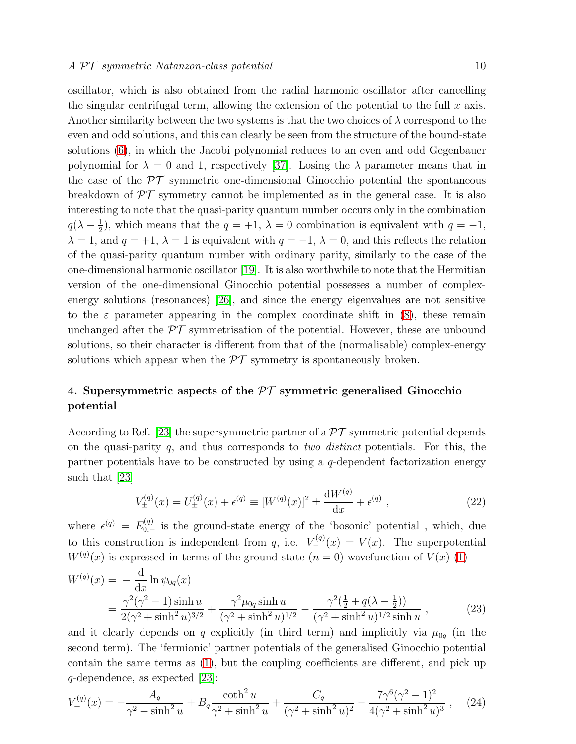oscillator, which is also obtained from the radial harmonic oscillator after cancelling the singular centrifugal term, allowing the extension of the potential to the full  $x$  axis. Another similarity between the two systems is that the two choices of  $\lambda$  correspond to the even and odd solutions, and this can clearly be seen from the structure of the bound-state solutions [\(6\)](#page-4-4), in which the Jacobi polynomial reduces to an even and odd Gegenbauer polynomial for  $\lambda = 0$  and 1, respectively [\[37\]](#page-12-18). Losing the  $\lambda$  parameter means that in the case of the  $\mathcal{PT}$  symmetric one-dimensional Ginocchio potential the spontaneous breakdown of  $\mathcal{PT}$  symmetry cannot be implemented as in the general case. It is also interesting to note that the quasi-parity quantum number occurs only in the combination  $q(\lambda - \frac{1}{2})$  $\frac{1}{2}$ , which means that the  $q = +1$ ,  $\lambda = 0$  combination is equivalent with  $q = -1$ ,  $\lambda = 1$ , and  $q = +1$ ,  $\lambda = 1$  is equivalent with  $q = -1$ ,  $\lambda = 0$ , and this reflects the relation of the quasi-parity quantum number with ordinary parity, similarly to the case of the one-dimensional harmonic oscillator [\[19\]](#page-12-0). It is also worthwhile to note that the Hermitian version of the one-dimensional Ginocchio potential possesses a number of complexenergy solutions (resonances) [\[26\]](#page-12-7), and since the energy eigenvalues are not sensitive to the  $\varepsilon$  parameter appearing in the complex coordinate shift in [\(8\)](#page-5-3), these remain unchanged after the  $\mathcal{PT}$  symmetrisation of the potential. However, these are unbound solutions, so their character is different from that of the (normalisable) complex-energy solutions which appear when the  $\mathcal{PT}$  symmetry is spontaneously broken.

# <span id="page-9-0"></span>4. Supersymmetric aspects of the  $\mathcal{PT}$  symmetric generalised Ginocchio potential

According to Ref. [\[23\]](#page-12-4) the supersymmetric partner of a  $\mathcal{PT}$  symmetric potential depends on the quasi-parity  $q$ , and thus corresponds to *two distinct* potentials. For this, the partner potentials have to be constructed by using a  $q$ -dependent factorization energy such that [\[23\]](#page-12-4)

$$
V_{\pm}^{(q)}(x) = U_{\pm}^{(q)}(x) + \epsilon^{(q)} \equiv [W^{(q)}(x)]^2 \pm \frac{\mathrm{d}W^{(q)}}{\mathrm{d}x} + \epsilon^{(q)} , \qquad (22)
$$

where  $\epsilon^{(q)} = E_{0,-}^{(q)}$  is the ground-state energy of the 'bosonic' potential, which, due to this construction is independent from q, i.e.  $V_{-}^{(q)}(x) = V(x)$ . The superpotential  $W^{(q)}(x)$  is expressed in terms of the ground-state  $(n = 0)$  wavefunction of  $V(x)$  [\(1\)](#page-4-2)

$$
W^{(q)}(x) = -\frac{d}{dx}\ln\psi_{0q}(x)
$$
  
= 
$$
\frac{\gamma^2(\gamma^2 - 1)\sinh u}{2(\gamma^2 + \sinh^2 u)^{3/2}} + \frac{\gamma^2\mu_{0q}\sinh u}{(\gamma^2 + \sinh^2 u)^{1/2}} - \frac{\gamma^2(\frac{1}{2} + q(\lambda - \frac{1}{2}))}{(\gamma^2 + \sinh^2 u)^{1/2}\sinh u},
$$
 (23)

and it clearly depends on q explicitly (in third term) and implicitly via  $\mu_{0q}$  (in the second term). The 'fermionic' partner potentials of the generalised Ginocchio potential contain the same terms as [\(1\)](#page-4-2), but the coupling coefficients are different, and pick up  $q$ -dependence, as expected [\[23\]](#page-12-4):

<span id="page-9-1"></span>
$$
V_{+}^{(q)}(x) = -\frac{A_q}{\gamma^2 + \sinh^2 u} + B_q \frac{\coth^2 u}{\gamma^2 + \sinh^2 u} + \frac{C_q}{(\gamma^2 + \sinh^2 u)^2} - \frac{7\gamma^6 (\gamma^2 - 1)^2}{4(\gamma^2 + \sinh^2 u)^3},
$$
 (24)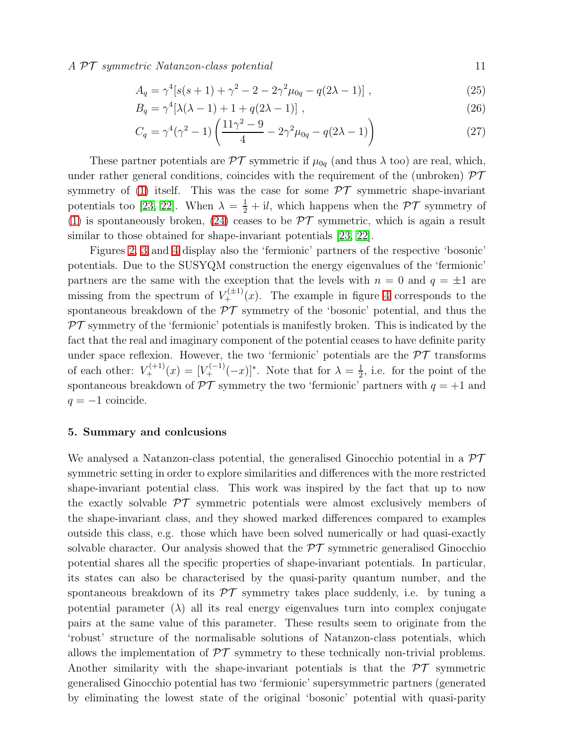$A \, \mathcal{PT}$  symmetric Natanzon-class potential  $11$ 

$$
A_q = \gamma^4 [s(s+1) + \gamma^2 - 2 - 2\gamma^2 \mu_{0q} - q(2\lambda - 1)],
$$
\n(25)

$$
B_q = \gamma^4 [\lambda(\lambda - 1) + 1 + q(2\lambda - 1)], \qquad (26)
$$

$$
C_q = \gamma^4(\gamma^2 - 1) \left( \frac{11\gamma^2 - 9}{4} - 2\gamma^2 \mu_{0q} - q(2\lambda - 1) \right)
$$
 (27)

These partner potentials are  $\mathcal{PT}$  symmetric if  $\mu_{0q}$  (and thus  $\lambda$  too) are real, which, under rather general conditions, coincides with the requirement of the (unbroken)  $\mathcal{PT}$ symmetry of [\(1\)](#page-4-2) itself. This was the case for some  $\mathcal{PT}$  symmetric shape-invariant potentials too [\[23,](#page-12-4) [22\]](#page-12-3). When  $\lambda = \frac{1}{2} + i\ell$ , which happens when the  $\mathcal{PT}$  symmetry of [\(1\)](#page-4-2) is spontaneously broken, [\(24\)](#page-9-1) ceases to be  $\mathcal{PT}$  symmetric, which is again a result similar to those obtained for shape-invariant potentials [\[23,](#page-12-4) [22\]](#page-12-3).

Figures [2,](#page-13-1) [3](#page-14-0) and [4](#page-14-1) display also the 'fermionic' partners of the respective 'bosonic' potentials. Due to the SUSYQM construction the energy eigenvalues of the 'fermionic' partners are the same with the exception that the levels with  $n = 0$  and  $q = \pm 1$  are missing from the spectrum of  $V_{+}^{(\pm 1)}(x)$ . The example in figure [4](#page-14-1) corresponds to the spontaneous breakdown of the  $\mathcal{PT}$  symmetry of the 'bosonic' potential, and thus the  $PT$  symmetry of the 'fermionic' potentials is manifestly broken. This is indicated by the fact that the real and imaginary component of the potential ceases to have definite parity under space reflexion. However, the two 'fermionic' potentials are the  $\mathcal{PT}$  transforms of each other:  $V_{+}^{(+1)}(x) = [V_{+}^{(-1)}(-x)]^{*}$ . Note that for  $\lambda = \frac{1}{2}$  $\frac{1}{2}$ , i.e. for the point of the spontaneous breakdown of  $\mathcal{PT}$  symmetry the two 'fermionic' partners with  $q = +1$  and  $q = -1$  coincide.

#### <span id="page-10-0"></span>5. Summary and conlcusions

We analysed a Natanzon-class potential, the generalised Ginocchio potential in a  $\mathcal{PT}$ symmetric setting in order to explore similarities and differences with the more restricted shape-invariant potential class. This work was inspired by the fact that up to now the exactly solvable  $\mathcal{PT}$  symmetric potentials were almost exclusively members of the shape-invariant class, and they showed marked differences compared to examples outside this class, e.g. those which have been solved numerically or had quasi-exactly solvable character. Our analysis showed that the  $\mathcal{PT}$  symmetric generalised Ginocchio potential shares all the specific properties of shape-invariant potentials. In particular, its states can also be characterised by the quasi-parity quantum number, and the spontaneous breakdown of its  $\mathcal{PT}$  symmetry takes place suddenly, i.e. by tuning a potential parameter  $(\lambda)$  all its real energy eigenvalues turn into complex conjugate pairs at the same value of this parameter. These results seem to originate from the 'robust' structure of the normalisable solutions of Natanzon-class potentials, which allows the implementation of  $\mathcal{PT}$  symmetry to these technically non-trivial problems. Another similarity with the shape-invariant potentials is that the  $\mathcal{PT}$  symmetric generalised Ginocchio potential has two 'fermionic' supersymmetric partners (generated by eliminating the lowest state of the original 'bosonic' potential with quasi-parity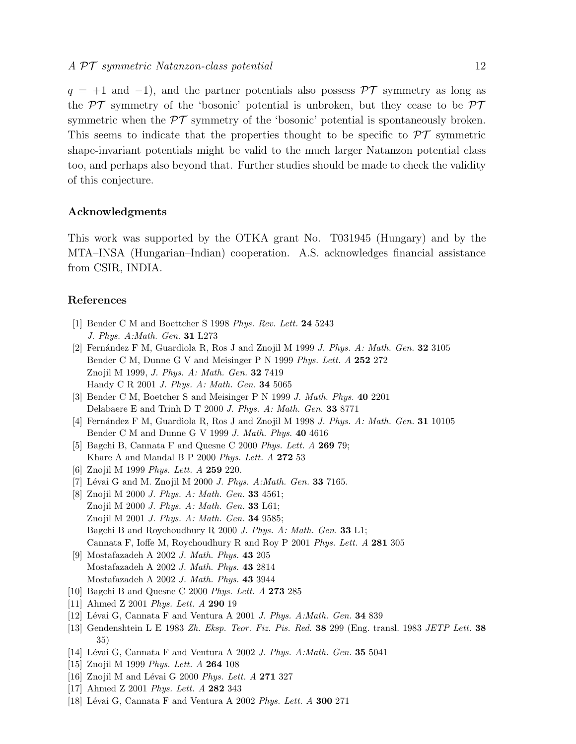$q = +1$  and -1), and the partner potentials also possess  $\mathcal{PT}$  symmetry as long as the  $\mathcal{PT}$  symmetry of the 'bosonic' potential is unbroken, but they cease to be  $\mathcal{PT}$ symmetric when the  $\mathcal{PT}$  symmetry of the 'bosonic' potential is spontaneously broken. This seems to indicate that the properties thought to be specific to  $\mathcal{PT}$  symmetric shape-invariant potentials might be valid to the much larger Natanzon potential class too, and perhaps also beyond that. Further studies should be made to check the validity of this conjecture.

# Acknowledgments

This work was supported by the OTKA grant No. T031945 (Hungary) and by the MTA–INSA (Hungarian–Indian) cooperation. A.S. acknowledges financial assistance from CSIR, INDIA.

# <span id="page-11-0"></span>References

- <span id="page-11-1"></span>[1] Bender C M and Boettcher S 1998 *Phys. Rev. Lett.* 24 5243 *J. Phys. A:Math. Gen.* 31 L273
- [2] Fern´andez F M, Guardiola R, Ros J and Znojil M 1999 *J. Phys. A: Math. Gen.* 32 3105 Bender C M, Dunne G V and Meisinger P N 1999 *Phys. Lett. A* 252 272 Znojil M 1999, *J. Phys. A: Math. Gen.* 32 7419 Handy C R 2001 *J. Phys. A: Math. Gen.* 34 5065
- <span id="page-11-2"></span>[3] Bender C M, Boetcher S and Meisinger P N 1999 *J. Math. Phys.* 40 2201 Delabaere E and Trinh D T 2000 *J. Phys. A: Math. Gen.* 33 8771
- <span id="page-11-4"></span><span id="page-11-3"></span>[4] Fern´andez F M, Guardiola R, Ros J and Znojil M 1998 *J. Phys. A: Math. Gen.* 31 10105 Bender C M and Dunne G V 1999 *J. Math. Phys.* 40 4616
- <span id="page-11-5"></span>[5] Bagchi B, Cannata F and Quesne C 2000 *Phys. Lett. A* 269 79; Khare A and Mandal B P 2000 *Phys. Lett. A* 272 53
- <span id="page-11-6"></span>[6] Znojil M 1999 *Phys. Lett. A* 259 220.
- <span id="page-11-7"></span>[7] Lévai G and M. Znojil M 2000 *J. Phys. A:Math. Gen.* **33** 7165.
- [8] Znojil M 2000 *J. Phys. A: Math. Gen.* 33 4561; Znojil M 2000 *J. Phys. A: Math. Gen.* 33 L61; Znojil M 2001 *J. Phys. A: Math. Gen.* 34 9585; Bagchi B and Roychoudhury R 2000 *J. Phys. A: Math. Gen.* 33 L1; Cannata F, Ioffe M, Roychoudhury R and Roy P 2001 *Phys. Lett. A* 281 305
- <span id="page-11-8"></span>[9] Mostafazadeh A 2002 *J. Math. Phys.* 43 205 Mostafazadeh A 2002 *J. Math. Phys.* 43 2814 Mostafazadeh A 2002 *J. Math. Phys.* 43 3944
- <span id="page-11-10"></span><span id="page-11-9"></span>[10] Bagchi B and Quesne C 2000 *Phys. Lett. A* 273 285
- <span id="page-11-11"></span>[11] Ahmed Z 2001 *Phys. Lett. A* 290 19
- <span id="page-11-12"></span>[12] Lévai G, Cannata F and Ventura A 2001 *J. Phys. A:Math. Gen.* **34** 839
- [13] Gendenshtein L E 1983 *Zh. Eksp. Teor. Fiz. Pis. Red.* 38 299 (Eng. transl. 1983 *JETP Lett.* 38 35)
- <span id="page-11-14"></span><span id="page-11-13"></span>[14] L´evai G, Cannata F and Ventura A 2002 *J. Phys. A:Math. Gen.* 35 5041
- <span id="page-11-15"></span>[15] Znojil M 1999 *Phys. Lett. A* 264 108
- <span id="page-11-16"></span>[16] Znojil M and Lévai G 2000 *Phys. Lett. A* 271 327
- <span id="page-11-17"></span>[17] Ahmed Z 2001 *Phys. Lett. A* 282 343
- [18] Lévai G, Cannata F and Ventura A 2002 *Phys. Lett. A* 300 271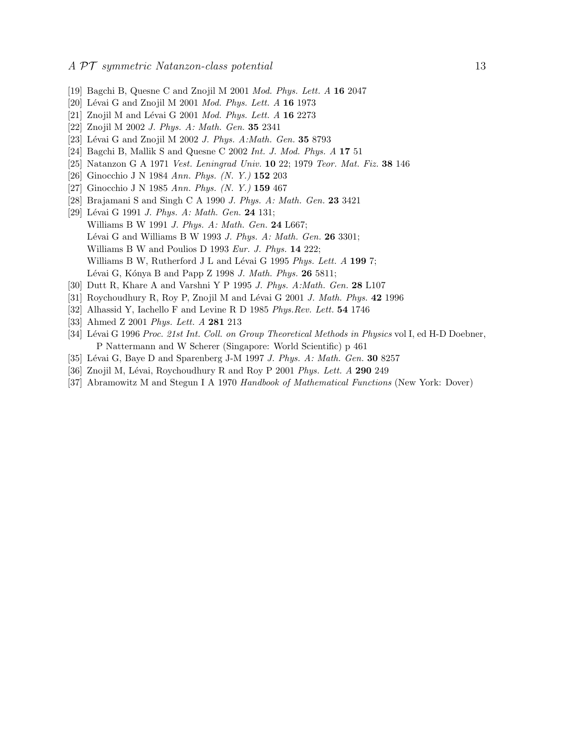- <span id="page-12-1"></span><span id="page-12-0"></span>[19] Bagchi B, Quesne C and Znojil M 2001 *Mod. Phys. Lett. A* 16 2047
- <span id="page-12-2"></span>[20] Lévai G and Znojil M 2001 *Mod. Phys. Lett. A* 16 1973
- <span id="page-12-3"></span>[21] Znojil M and Lévai G 2001 *Mod. Phys. Lett. A* 16 2273
- <span id="page-12-4"></span>[22] Znojil M 2002 *J. Phys. A: Math. Gen.* 35 2341
- <span id="page-12-5"></span>[23] Lévai G and Znojil M 2002 *J. Phys. A:Math. Gen.* **35** 8793
- <span id="page-12-6"></span>[24] Bagchi B, Mallik S and Quesne C 2002 *Int. J. Mod. Phys. A* 17 51
- <span id="page-12-7"></span>[25] Natanzon G A 1971 *Vest. Leningrad Univ.* 10 22; 1979 *Teor. Mat. Fiz.* 38 146
- <span id="page-12-8"></span>[26] Ginocchio J N 1984 *Ann. Phys. (N. Y.)* 152 203
- <span id="page-12-9"></span>[27] Ginocchio J N 1985 *Ann. Phys. (N. Y.)* 159 467
- <span id="page-12-10"></span>[28] Brajamani S and Singh C A 1990 *J. Phys. A: Math. Gen.* 23 3421
- [29] Lévai G 1991 *J. Phys. A: Math. Gen.* **24** 131; Williams B W 1991 *J. Phys. A: Math. Gen.* 24 L667; L´evai G and Williams B W 1993 *J. Phys. A: Math. Gen.* 26 3301; Williams B W and Poulios D 1993 *Eur. J. Phys.* 14 222; Williams B W, Rutherford J L and Lévai G 1995 *Phys. Lett. A* 199 7; Lévai G, Kónya B and Papp Z 1998 *J. Math. Phys.* **26** 5811;
- <span id="page-12-12"></span><span id="page-12-11"></span>[30] Dutt R, Khare A and Varshni Y P 1995 *J. Phys. A:Math. Gen.* 28 L107
- <span id="page-12-13"></span>[31] Roychoudhury R, Roy P, Znojil M and L´evai G 2001 *J. Math. Phys.* 42 1996
- <span id="page-12-14"></span>[32] Alhassid Y, Iachello F and Levine R D 1985 *Phys.Rev. Lett.* 54 1746
- <span id="page-12-15"></span>[33] Ahmed Z 2001 *Phys. Lett. A* 281 213
- [34] L´evai G 1996 *Proc. 21st Int. Coll. on Group Theoretical Methods in Physics* vol I, ed H-D Doebner, P Nattermann and W Scherer (Singapore: World Scientific) p 461
- <span id="page-12-17"></span><span id="page-12-16"></span>[35] Lévai G, Baye D and Sparenberg J-M 1997 *J. Phys. A: Math. Gen.* **30** 8257
- <span id="page-12-18"></span>[36] Znojil M, Lévai, Roychoudhury R and Roy P 2001 *Phys. Lett. A* 290 249
- [37] Abramowitz M and Stegun I A 1970 *Handbook of Mathematical Functions* (New York: Dover)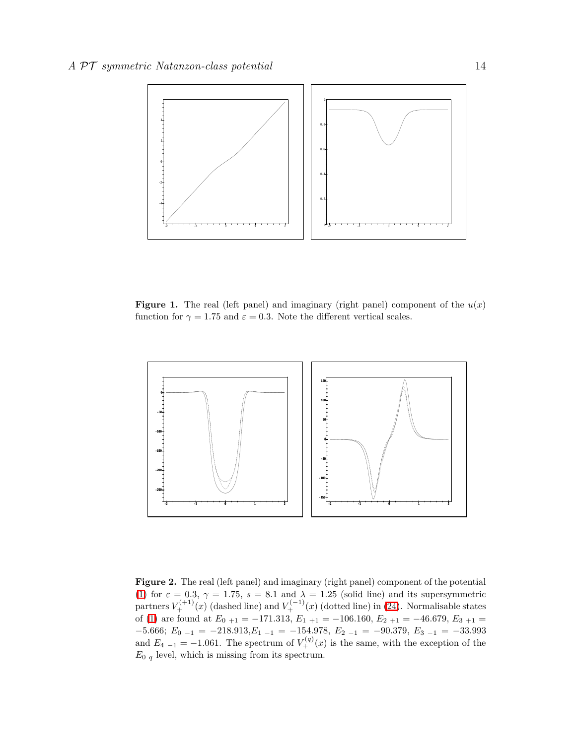

<span id="page-13-0"></span>**Figure 1.** The real (left panel) and imaginary (right panel) component of the  $u(x)$ function for  $\gamma = 1.75$  and  $\varepsilon = 0.3$ . Note the different vertical scales.



<span id="page-13-1"></span>Figure 2. The real (left panel) and imaginary (right panel) component of the potential [\(1\)](#page-4-2) for  $\varepsilon = 0.3$ ,  $\gamma = 1.75$ ,  $s = 8.1$  and  $\lambda = 1.25$  (solid line) and its supersymmetric partners  $V_+^{(+1)}(x)$  (dashed line) and  $V_+^{(-1)}(x)$  (dotted line) in [\(24\)](#page-9-1). Normalisable states of [\(1\)](#page-4-2) are found at  $E_{0+1} = -171.313, E_{1+1} = -106.160, E_{2+1} = -46.679, E_{3+1} =$  $-5.666; E_{0-1} = -218.913, E_{1-1} = -154.978, E_{2-1} = -90.379, E_{3-1} = -33.993$ and  $E_{4-1} = -1.061$ . The spectrum of  $V_{+}^{(q)}(x)$  is the same, with the exception of the  $E_0$  q level, which is missing from its spectrum.